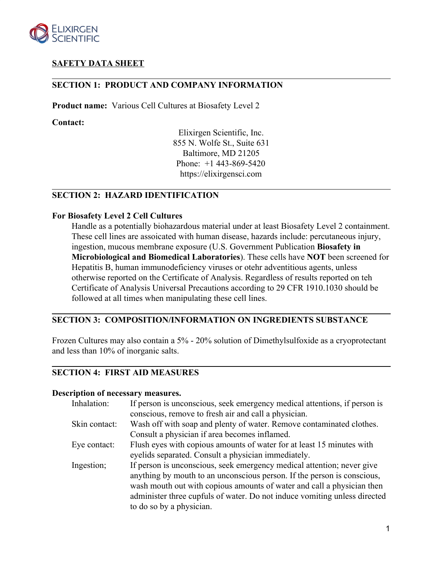

# **SAFETY DATA SHEET**

# **SECTION 1: PRODUCT AND COMPANY INFORMATION**

**Product name:** Various Cell Cultures at Biosafety Level 2

**Contact:**

Elixirgen Scientific, Inc. 855 N. Wolfe St., Suite 631 Baltimore, MD 21205 Phone: +1 443-869-5420 https://elixirgensci.com

# **SECTION 2: HAZARD IDENTIFICATION**

### **For Biosafety Level 2 Cell Cultures**

Handle as a potentially biohazardous material under at least Biosafety Level 2 containment. These cell lines are assoicated with human disease, hazards include: percutaneous injury, ingestion, mucous membrane exposure (U.S. Government Publication **Biosafety in Microbiological and Biomedical Laboratories**). These cells have **NOT** been screened for Hepatitis B, human immunodeficiency viruses or otehr adventitious agents, unless otherwise reported on the Certificate of Analysis. Regardless of results reported on teh Certificate of Analysis Universal Precautions according to 29 CFR 1910.1030 should be followed at all times when manipulating these cell lines.

# **SECTION 3: COMPOSITION/INFORMATION ON INGREDIENTS SUBSTANCE**

Frozen Cultures may also contain a 5% - 20% solution of Dimethylsulfoxide as a cryoprotectant and less than 10% of inorganic salts.

## **SECTION 4: FIRST AID MEASURES**

#### **Description of necessary measures.**

| Inhalation:   | If person is unconscious, seek emergency medical attentions, if person is |
|---------------|---------------------------------------------------------------------------|
|               | conscious, remove to fresh air and call a physician.                      |
| Skin contact: | Wash off with soap and plenty of water. Remove contaminated clothes.      |
|               | Consult a physician if area becomes inflamed.                             |
| Eye contact:  | Flush eyes with copious amounts of water for at least 15 minutes with     |
|               | eyelids separated. Consult a physician immediately.                       |
| Ingestion;    | If person is unconscious, seek emergency medical attention; never give    |
|               | anything by mouth to an unconscious person. If the person is conscious,   |
|               | wash mouth out with copious amounts of water and call a physician then    |
|               | administer three cupfuls of water. Do not induce vomiting unless directed |
|               | to do so by a physician.                                                  |
|               |                                                                           |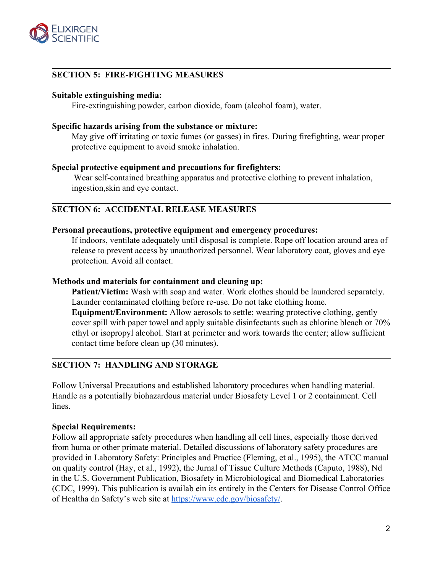

# **SECTION 5: FIRE-FIGHTING MEASURES**

## **Suitable extinguishing media:**

Fire-extinguishing powder, carbon dioxide, foam (alcohol foam), water.

#### **Specific hazards arising from the substance or mixture:**

May give off irritating or toxic fumes (or gasses) in fires. During firefighting, wear proper protective equipment to avoid smoke inhalation.

### **Special protective equipment and precautions for firefighters:**

 Wear self-contained breathing apparatus and protective clothing to prevent inhalation, ingestion,skin and eye contact.

### **SECTION 6: ACCIDENTAL RELEASE MEASURES**

#### **Personal precautions, protective equipment and emergency procedures:**

If indoors, ventilate adequately until disposal is complete. Rope off location around area of release to prevent access by unauthorized personnel. Wear laboratory coat, gloves and eye protection. Avoid all contact.

#### **Methods and materials for containment and cleaning up:**

**Patient/Victim:** Wash with soap and water. Work clothes should be laundered separately. Launder contaminated clothing before re-use. Do not take clothing home. **Equipment/Environment:** Allow aerosols to settle; wearing protective clothing, gently cover spill with paper towel and apply suitable disinfectants such as chlorine bleach or 70% ethyl or isopropyl alcohol. Start at perimeter and work towards the center; allow sufficient contact time before clean up (30 minutes).

## **SECTION 7: HANDLING AND STORAGE**

Follow Universal Precautions and established laboratory procedures when handling material. Handle as a potentially biohazardous material under Biosafety Level 1 or 2 containment. Cell lines.

## **Special Requirements:**

Follow all appropriate safety procedures when handling all cell lines, especially those derived from huma or other primate material. Detailed discussions of laboratory safety procedures are provided in Laboratory Safety: Principles and Practice (Fleming, et al., 1995), the ATCC manual on quality control (Hay, et al., 1992), the Jurnal of Tissue Culture Methods (Caputo, 1988), Nd in the U.S. Government Publication, Biosafety in Microbiological and Biomedical Laboratories (CDC, 1999). This publication is availab ein its entirely in the Centers for Disease Control Office of Healtha dn Safety's web site at [https://www.cdc.gov/biosafety/.](https://www.cdc.gov/biosafety/)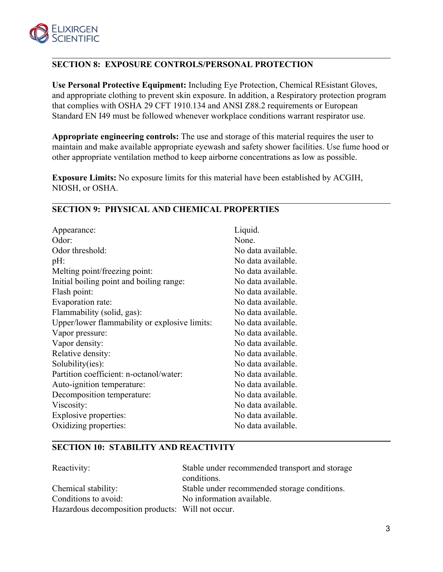

# **SECTION 8: EXPOSURE CONTROLS/PERSONAL PROTECTION**

**Use Personal Protective Equipment:** Including Eye Protection, Chemical REsistant Gloves, and appropriate clothing to prevent skin exposure. In addition, a Respiratory protection program that complies with OSHA 29 CFT 1910.134 and ANSI Z88.2 requirements or European Standard EN I49 must be followed whenever workplace conditions warrant respirator use.

**Appropriate engineering controls:** The use and storage of this material requires the user to maintain and make available appropriate eyewash and safety shower facilities. Use fume hood or other appropriate ventilation method to keep airborne concentrations as low as possible.

**Exposure Limits:** No exposure limits for this material have been established by ACGIH, NIOSH, or OSHA.

| Appearance:                                   | Liquid.            |
|-----------------------------------------------|--------------------|
| Odor:                                         | None.              |
| Odor threshold:                               | No data available. |
| pH:                                           | No data available. |
| Melting point/freezing point:                 | No data available. |
| Initial boiling point and boiling range:      | No data available. |
| Flash point:                                  | No data available. |
| Evaporation rate:                             | No data available. |
| Flammability (solid, gas):                    | No data available. |
| Upper/lower flammability or explosive limits: | No data available. |
| Vapor pressure:                               | No data available. |
| Vapor density:                                | No data available. |
| Relative density:                             | No data available. |
| Solubility(ies):                              | No data available. |
| Partition coefficient: n-octanol/water:       | No data available. |
| Auto-ignition temperature:                    | No data available. |
| Decomposition temperature:                    | No data available. |
| Viscosity:                                    | No data available. |
| Explosive properties:                         | No data available. |
| Oxidizing properties:                         | No data available. |

# **SECTION 9: PHYSICAL AND CHEMICAL PROPERTIES**

## **SECTION 10: STABILITY AND REACTIVITY**

| Reactivity:                                       | Stable under recommended transport and storage<br>conditions. |
|---------------------------------------------------|---------------------------------------------------------------|
| Chemical stability:                               | Stable under recommended storage conditions.                  |
| Conditions to avoid:                              | No information available.                                     |
| Hazardous decomposition products: Will not occur. |                                                               |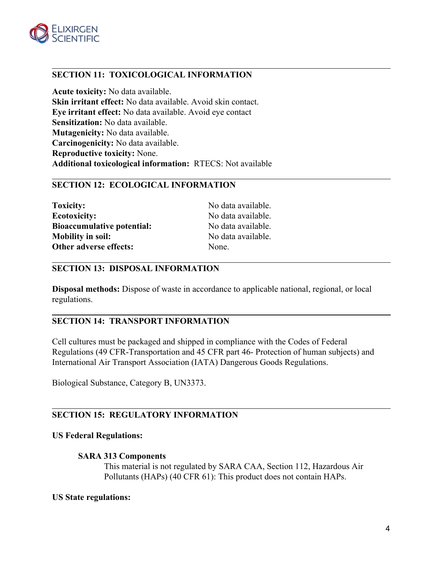

# **SECTION 11: TOXICOLOGICAL INFORMATION**

**Acute toxicity:** No data available. **Skin irritant effect:** No data available. Avoid skin contact. **Eye irritant effect:** No data available. Avoid eye contact **Sensitization:** No data available. **Mutagenicity:** No data available. **Carcinogenicity:** No data available. **Reproductive toxicity:** None. **Additional toxicological information:** RTECS: Not available

### **SECTION 12: ECOLOGICAL INFORMATION**

| <b>Toxicity:</b>                  |  |
|-----------------------------------|--|
| <b>Ecotoxicity:</b>               |  |
| <b>Bioaccumulative potential:</b> |  |
| <b>Mobility in soil:</b>          |  |
| Other adverse effects:            |  |

No data available. **Ecotoxicity:** No data available. No data available. **Mobility in soil:** No data available. None.

## **SECTION 13: DISPOSAL INFORMATION**

**Disposal methods:** Dispose of waste in accordance to applicable national, regional, or local regulations.

## **SECTION 14: TRANSPORT INFORMATION**

Cell cultures must be packaged and shipped in compliance with the Codes of Federal Regulations (49 CFR-Transportation and 45 CFR part 46- Protection of human subjects) and International Air Transport Association (IATA) Dangerous Goods Regulations.

Biological Substance, Category B, UN3373.

# **SECTION 15: REGULATORY INFORMATION**

#### **US Federal Regulations:**

#### **SARA 313 Components**

This material is not regulated by SARA CAA, Section 112, Hazardous Air Pollutants (HAPs) (40 CFR 61): This product does not contain HAPs.

#### **US State regulations:**